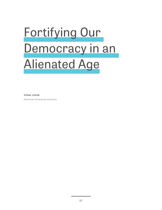## Fortifying Our Democracy in an Alienated Age

**YUVAL LEVIN** American Enterprise Institute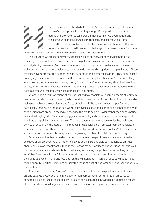

We should we understand what now ails American democracy? The sheer<br>scope of the symptoms is daunting enough. From partisan polarization to<br>institutional sclerosis, culture-war animosities, mistrust, corruption, and<br>cynici scope of the symptoms is daunting enough. From partisan polarization to institutional sclerosis, culture-war animosities, mistrust, corruption, and cynicism, our political culture seems beset by endless troubles. Some such as the challenge of balancing legitimate representation with effective government—are rooted in enduring challenges in our free society. But some

are far more distinct to our time and more distressing and disorienting.

The scourges we face today involve, especially, a loss of trust, confidence, belonging, and solidarity. They sometimes express themselves in political terms as intense partisan divisions and a paralysis of governance. And they sometimes show up in more personal ways as loneliness, isolation, and even despair that leads to rising suicide rates and an epidemic of opioid abuse. These troubles have roots that run deeper than policy debates and electoral coalitions. They all reflect an underlying estrangement—a sense that this country is working for others, but "not for me." They keep too many Americans from readily saying "us" and "ours" when speaking about the life of this society. At their core is a corrosive sentiment that might best be described as alienation and that poses a profound threat to American democracy in our time.

"Alienation" is a term we might, at first, be inclined to associate with some streams of Marxism insofar as they describe a process by which workers lose a sense of control over their own lives by losing control over the conditions and fruits of their work.**<sup>1</sup>** But the term has deeper foundations, particularly in Christian thought, as a way of conveying a sense of distance or disconnection driven by exclusion from grace—a feeling of observing the world as an outsider rather than participating in it and belonging to it.**<sup>2</sup>** This, in turn, suggests the sociological connotation of the concept, which illuminates its political meaning, as well. The great twentieth-century sociologist Robert Nisbet defined alienation as "the state of mind that can find a social order remote, incomprehensible, or fraudulent; beyond real hope or desire; inviting apathy, boredom, or even hostility."**3** This is how the social order of the United States appears to a growing number of our fellow citizens today.

But the alienation that pervades this period runs even deeper. It isn't just a matter of feeling excluded or unrepresented or a matter of fraying social links and civic connections. It isn't just about populism or resentment, either. In fact, for too many Americans, the very idea that this is all that contemporary alienation entails is itself a way of treating the problem as something wrong with "them" and not with "us." But alienation shows itself in the attitudes of American elites and the public at large on the left no less than on the right. In fact, it might be fair to say that its most familiar populist political forms are actually the result of a set of less familiar but no less dangerous manifestations.

Four such deep-rooted forms of contemporary alienation deserve particular attention from anyone eager to preserve and reinforce American democracy in our time. Each amounts to something like a failure of responsibility: a failure of insiders to acknowledge obligations, a failure of partisans to acknowledge culpability, a failure to take ownership of our common past, and a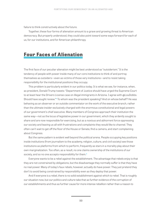failure to think constructively about the future.

Together, these four forms of alienation amount to a grave and growing threat to American democracy. But properly understood, they could also point toward some ways forward for each of us, for our institutions, and for American philanthropy.

## **Four Faces of Alienation**

The first face of our peculiar alienation might be best understood as "outsiderism." It is the tendency of people with power inside many of our core institutions to think of and portray themselves as outsiders—even as victims of those very institutions—and to resist taking responsibility for the institutional positions they occupy.

This problem is particularly evident in our politics today. It is what we see, for instance, when, as president, Donald Trump tweets: "Department of Justice should have urged the Supreme Court to at least hear the Drivers License case on illegal immigrants in Arizona. I agree with @LouDobbs. Should have sought review."**<sup>4</sup>** To whom was the president speaking? And on whose behalf? He was behaving as an observer or an outside commentator on the work of the executive branch, rather than the ultimate insider exclusively charged with the enormous constitutional and legal powers of our government's chief executive. Many members of Congress approach their institution the same way—not as the locus of legislative power in our government, which they ardently sought to share and are now responsible for exercising, but as a noxious and abhorrent force oppressing our society and leaving us all with frustrations and complaints they would like to channel. They often can't wait to get off the floor of the House or Senate, find a camera, and start complaining about Congress.

But the same pattern is evident well beyond the political arena. People occupying key positions inside institutions (from journalism to the academy, religion, culture, and civil society) see those institutions as platforms from which to perform, frequently as stars in a morality play about their own marginalization. Too often, as a result, no one claims ownership of the institutions of our society, and so no one accepts responsibility for them.**<sup>5</sup>**

Everyone wants to be a rebel against the establishment. The advantage that rebels enjoy is that they are not constrained by obligations, but the disadvantage they normally suffer is that they have no real power. Many of today's faux rebels, however, actually do have power. They just pretend they don't to avoid being constrained by responsibility even as they deploy that power.

And if everyone is a rebel, there is no solid establishment against which to rebel. That is roughly our situation now, but our politics and culture take that as further evidence of the corruption of our establishments and thus as further cause for more intense rebellion rather than a reason to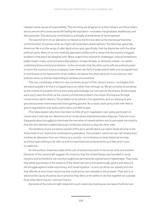reassert some sense of responsibility. The one thing we all agree on is that insiders are the problem, and so we are all in some sense left feeling like outsiders—excluded, marginalized, disaffected, and disconnected. This obviously contributes to a broadly shared sense of estrangement.

The second form of our alienation is related to the first but also to the intense partisanship of this moment. It involves what we might call "polarized catastrophism," the idea that, generally, American life is on the verge of utter destruction and, specifically, that the blame lies with the other political camp. Many of us now implicitly approach politics with a sense that the country's biggest problem is the party we disagree with. More urgent than economic challenges, cultural breakdown, public health crises, environmental degradation, foreign threats, or domestic needs—or rather, underlying those practical problems—is the conviction that the other party will use political power to harm the country's future prospects. Even when we think of polarization itself, and recognize how it contributes to the dysfunction of our politics, we blame the other party for it and view our own political camp as merely responding to reckless provocations.

This, too, constitutes a failure to see ourselves as part of the country's story—to imagine that we stand outside it or that it is happening *to* us rather than *through* us. We all conceive of ourselves as the victims of powerful forces and rarely acknowledge our own part in the drama. And because each party sees the other as the country's foremost problem, the notion of progress through compromise seems absurd. The problem to be solved is the opposition, and so refusing to give ground becomes more important than gaining ground. As a result, each party is left with little to give in negotiations over policy particulars and little to gain.

This helps explain why there has been so little of such negotiation over policy particulars in recent years and why our elections are so rarely about substantive policy disputes. They are more frequently about struggles to dominate the narrative of catastrophism and to persuade the country that the next election matters because it is the last chance to stop the other side.

The tendency to put ourselves outside of the story we tell about our nation leads directly to the third mode of our distinctive contemporary alienation. This problem, which we can call "ahistoricity," involves an alienation from our history as a society—an inclination to treat historical wrongs as if they have nothing to do with us and to treat historical achievements as if they aren't ours to celebrate.

On the surface, these two sides of the coin of ahistoricity seem to be at war with one another. Elements of the cultural left suggest, for instance, that the United States was founded in racial injustice and is therefore not only thoroughly but permanently stained and irredeemable. They insist that white supremacy is the essence of the American story and systemically ignore and obscure the struggle *against* white supremacy and racial injustice—a story as old as our society and one that affords us enormous resources that could prove very valuable in the present. Their aim is to advance the cause of justice, but in practice they deny us the ability to do that together as a people by grossly distorting our common history.

Elements of the cultural right respond to such claims by insisting we can leave the American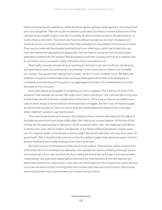history of racial injustice behind us, celebrate the progress we have made against it, and simply look past race altogether. Their aim is also to advance a just ideal, but theirs is no less a distortion of the role that history ought to play in the life of a society. A nation's existence spans the generations—it is one whole across time. This means we must be willing to accept our society's misdeeds and injustices as our own and to understand that they inevitably and unavoidably influence our present. If we want to celebrate the elevated and inspiring in our inheritance, which we should, then we must also lament the degraded and disgraceful. And we have to recognize that the sins of past generations extend into the present. Racial injustice is still with us today, not only as a shadow cast by our history, but as a present reality in the lives of too many Americans.

That reality, however, should send us reaching for the best in our own traditions, not denying and ignoring our past, but embracing it and finding in it the resources to redeem and revitalize our society. That would mean seeing that our past—all of it—is ours. Indeed, it is us. We fight over whether our past is irredeemably evil or unimpeachably good rather than acknowledging its complexity and drawing upon the good to struggle against the bad. The unwillingness to do that alienates us from our past.

And it also leaves us incapable of imagining our future together. This is the fourth form of the alienation that bedevils our society. We might call it "future-blindness." Our common life at this point is shockingly devoid of serious consideration of the future. This is easy to miss as our politics and culture seem always to be wracked by intense partisan struggles. But few if any of these struggles are about how to build our future or about what the United States will require to be a stronger, better, healthier society in, say, twenty years.

This is partly generational, to be sure. Our political culture remains dominated by the oldest of the baby boomers (and even those a little older than they) to an unusual degree. At the time of this writing, we are approaching an election in which a seventy-seven-year-old challenger will take on a seventy-four-year-old incumbent. The Speaker of the House of Representatives is eighty years old. The majority leader of the Senate is seventy-eight. We should wish them all many more years of good health. Still, it should hardly surprise us that the political system they dominate seems mired in ancient feuds and has trouble thinking of the future as its own.

But there is more to the absence of the future in our politics. That peculiar void is a kind of sum of the other forms of contemporary alienation. Our outsiderism leaves us feeling as though we are mere observers of our own society's life, thus making the future feel as though it is someone else's responsibility. Our polarized catastrophism shortens our time horizons: If the next election will determine whether our nation lives or dies, who can think beyond it? Our ahistoricity means we tend not to see ourselves as links in a long chain that reaches both backward and forward. We assume some sharp break must come between our present and our future.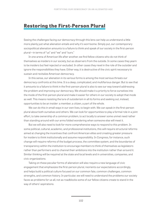## **Restoring the First-Person Plural**

Seeing the challenges facing our democracy through this lens can help us understand a little more plainly just what alienation entails and why it's worrisome. Simply put, our contemporary sociopolitical alienation amounts to a failure to think and speak of our society in the first-person plural—in terms of "us" and "we" and "ours."

In one arena of American life after another, we find fellow citizens who do not think of themselves as insiders in our society, but as observers from the outside. In some cases they yearn to be insiders but feel rejected or excluded. In other cases they revel in the role of the outsider and ignore the responsibilities they have. Either way, it is destructive of the civic spirit necessary to sustain and revitalize American democracy.

In this sense, our alienation in its various forms is among the most serious threats our democracy confronts at this time. It is a deep, complicated, and multifarious danger. But to see that it amounts to a failure to think in the first-person plural is also to see our way toward addressing the problem and improving our democracy. We should make it a priority to force ourselves into the mode of the first-person plural and make it easier for others in our society to adopt that mode as well. This means resisting the lure of outsiderism in all its forms and seeking out, instead, opportunities to be an insider: a member, a citizen, a part of the whole.

We can do this in small ways in our own lives, to begin with. We can speak in the first-person plural about both ourselves and others. We can look for opportunities to play a formal role in a joint effort, to take ownership of a common problem, to act locally to answer some unmet need rather than standing around with our arms folded wondering when someone else will meet it.

But we will also need to look for more comprehensive ways to respond to this problem. In some political, cultural, academic, and professional institutions, this will require structural reforms aimed at changing the incentives that confront American elites and creating greater pressure for insiders to think institutionally and assume responsibility. In Congress, for instance, such change will require reforms of the budget process, the committee system, and the boundaries of transparency within the institution to encourage members to think of themselves as legislators rather than performers and to channel their ambitions into the institution rather than around it. Similar thinking will be required at the state and local levels and in universities, companies, and civic organizations.

Taking on these peculiar forms of alienation will also require a new language of civic engagement that emphasizes the first-person plural, reorients our expectations accordingly, and helps build a political culture focused on our common fate, common challenges, common strengths, and common history. In particular, we will need to understand the problems our society faces as problems for us all, not as roadblocks some of our fellow citizens create to stand in the way of others' aspirations.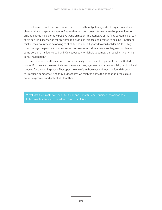For the most part, this does not amount to a traditional policy agenda. It requires a cultural change, almost a spiritual change. But for that reason, it does offer some real opportunities for philanthropy to help promote positive transformation. The standard of the first-person plural can serve as a kind of criterion for philanthropic giving: Is this project directed to helping Americans think of their country as belonging to all of its people? Is it geared toward solidarity? Is it likely to encourage the people it touches to see themselves as insiders in our society, responsible for some portion of its fate—good or ill? If it succeeds, will it help to combat our peculiar twenty-firstcentury alienation?

Questions such as these may not come naturally to the philanthropic sector in the United States. But they are the essential measures of civic engagement, social responsibility, and political renewal for the coming years. They speak to one of the thorniest and most profound threats to American democracy. And they suggest how we might mitigate the danger and rebuild our country's promise and potential—together.

**Yuval Levin** is director of Social, Cultural, and Constitutional Studies at the American Enterprise Institute and the editor of *National Affairs*.